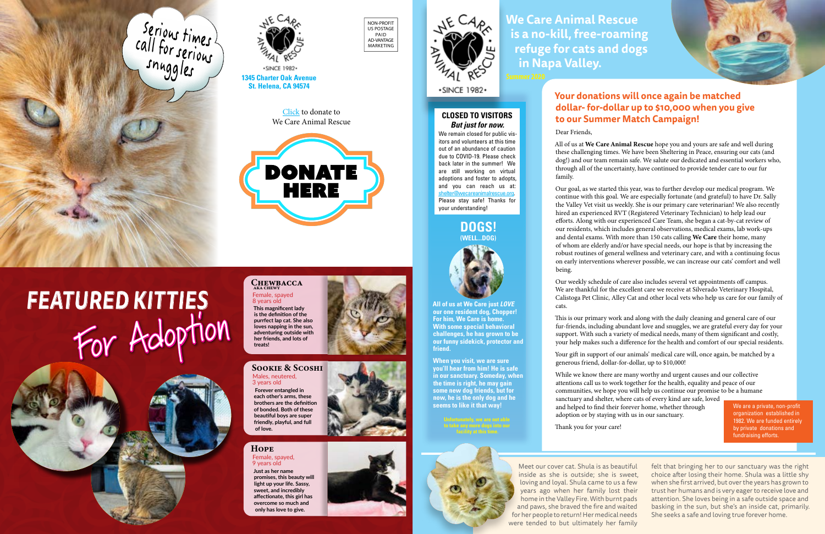Meet our cover cat. Shula is as beautiful inside as she is outside; she is sweet, loving and loyal. Shula came to us a few years ago when her family lost their home in the Valley Fire. With burnt pads and paws, she braved the fire and waited for her people to return! Her medical needs were tended to but ultimately her family

felt that bringing her to our sanctuary was the right choice after losing their home. Shula was a little shy when she first arrived, but over the years has grown to trust her humans and is very eager to receive love and attention. She loves being in a safe outside space and basking in the sun, but she's an inside cat, primarily. She seeks a safe and loving true forever home.

All of us at We Care Animal Rescue hope you and yours are safe and well during these challenging times. We have been Sheltering in Peace, ensuring our cats (and dog!) and our team remain safe. We salute our dedicated and essential workers who, through all of the uncertainty, have continued to provide tender care to our fur

# **Your donations will once again be matched dollar- for-dollar up to \$10,000 when you give to our Summer Match Campaign!**

Dear Friends,

family.

Our goal, as we started this year, was to further develop our medical program. We continue with this goal. We are especially fortunate (and grateful) to have Dr. Sally the Valley Vet visit us weekly. She is our primary care veterinarian! We also recently hired an experienced RVT (Registered Veterinary Technician) to help lead our efforts. Along with our experienced Care Team, she began a cat-by-cat review of our residents, which includes general observations, medical exams, lab work-ups and dental exams. With more than 150 cats calling We Care their home, many of whom are elderly and/or have special needs, our hope is that by increasing the robust routines of general wellness and veterinary care, and with a continuing focus on early interventions wherever possible, we can increase our cats' comfort and well being.

# CHEWBACCA Female, spayed 8 years old

Our weekly schedule of care also includes several vet appointments off campus. We are thankful for the excellent care we receive at Silverado Veterinary Hospital, Calistoga Pet Clinic, Alley Cat and other local vets who help us care for our family of

cats.

This is our primary work and along with the daily cleaning and general care of our fur-friends, including abundant love and snuggles, we are grateful every day for your support. With such a variety of medical needs, many of them significant and costly, your help makes such a difference for the health and comfort of our special residents.

[shelter@wecareanimalrescue.org.](mailto:shelter%40wecareanimalrescue.org?subject=Adoption%20info) Please stay safe! Thanks for your understanding!

> Your gift in support of our animals' medical care will, once again, be matched by a generous friend, dollar-for-dollar, up to \$10,000!

While we know there are many worthy and urgent causes and our collective attentions call us to work together for the health, equality and peace of our communities, we hope you will help us continue our promise to be a humane sanctuary and shelter, where cats of every kind are safe, loved

and helped to find their forever home, whether through adoption or by staying with us in our sanctuary.

Thank you for your care!

*FEATURED KITTIES*

**This magnificent lady** 

**is the definition of the purrfect lap cat. She also loves napping in the sun, adventuring outside with her friends, and lots of treats!**



# Sookie & Scoshi

Males, neutered, 3 years old

 **Forever entangled in each other's arms, these brothers are the definition of bonded. Both of these beautiful boys are super friendly, playful, and full of love.**

### **HOPE**

Female, spayed, 9 years old **Just as her name promises, this beauty will light up your life. Sassy, sweet, and incredibly affectionate, this girl has overcome so much and** 

**only has love to give.**









**We Care Animal Rescue is a no-kill, free-roaming refuge for cats and dogs in Napa Valley.**

**St. Helena, CA 94574**

For Adoption



We are a private, non-profit organization established in 1982. We are funded entirely by private donations and fundraising efforts.

#### **DOGS! (WELL...DOG)**







**When you visit, we are sure you'll hear from him! He is safe in our sanctuary. Someday, when the time is right, he may gain some new dog friends, but for now, he is the only dog and he seems to like it that way!**





**CLOSED TO VISITORS**  *But just for now.* We remain closed for public vis-

itors and volunteers at this time out of an abundance of caution due to COVID-19. Please check back later in the summer! We are still working on virtual adoptions and foster to adopts, and you can reach us at:





[Click](http://wecareanimalrescue.org/donate) to donate to We Care Animal Rescue

**DONATE** 

HERE